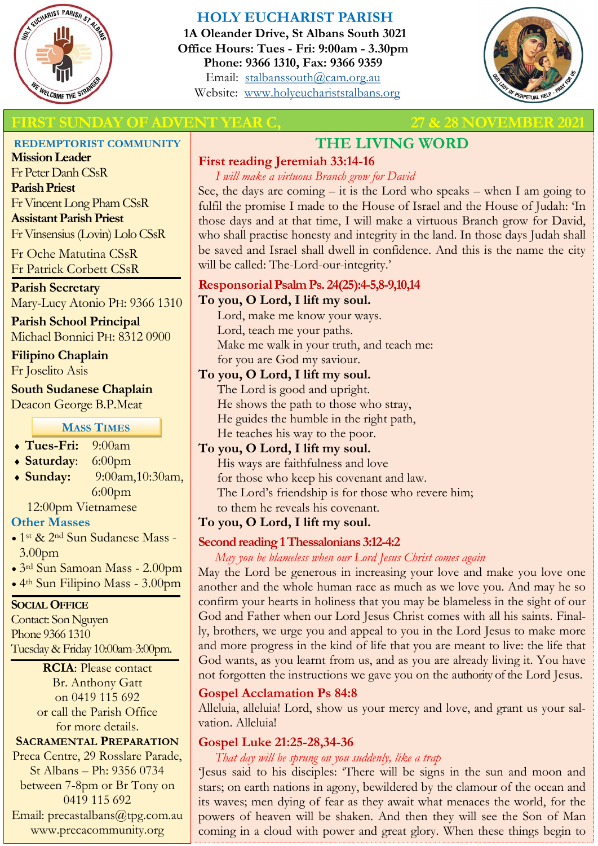

## **HOLY EUCHARIST PARISH**

**1A Oleander Drive, St Albans South 3021 Office Hours: Tues - Fri: 9:00am - 3.30pm Phone: 9366 1310, Fax: 9366 9359** Email: [stalbanssouth@cam.org.au](mailto:stalbanssouth@cam.org.au) Website:[www.holyeuchariststalbans.org](http://www.holyeuchariststalbans.org)



## **FIRST SUNDAY OF ADVENT YEAR C, 27 & 28 NOVEMBER 2**

#### **REDEMPTORIST COMMUNITY**

**Mission Leader** Fr Peter Danh CSsR **Parish Priest** Fr Vincent Long Pham CSsR **Assistant Parish Priest**  Fr Vinsensius (Lovin) Lolo CSsR

Fr Oche Matutina CSsR Fr Patrick Corbett CSsR

#### **Parish Secretary**

Mary-Lucy Atonio PH: 9366 1310

# **Parish School Principal**

Michael Bonnici PH: 8312 0900

#### **Filipino Chaplain**

Fr Joselito Asis

#### **South Sudanese Chaplain**

Deacon George B.P.Meat

#### **MASS TIMES**

- **Tues-Fri:** 9:00am
- **Saturday**: 6:00pm
- **Sunday:** 9:00am,10:30am, 6:00pm

12:00pm Vietnamese

#### **Other Masses**

- 1st & 2nd Sun Sudanese Mass 3.00pm
- 3rd Sun Samoan Mass 2.00pm
- 4th Sun Filipino Mass 3.00pm

#### **SOCIAL OFFICE**

Contact: Son Nguyen Phone 9366 1310 Tuesday & Friday 10:00am-3:00pm.

> **RCIA**: Please contact Br. Anthony Gatt on 0419 115 692 or call the Parish Office for more details.

#### **SACRAMENTAL PREPARATION**

Preca Centre, 29 Rosslare Parade, St Albans – Ph: 9356 0734 between 7-8pm or Br Tony on 0419 115 692 Email: precastalbans@tpg.com.au www.precacommunity.org

# **THE LIVING WORD**

#### **First reading Jeremiah 33:14-16**

*I will make a virtuous Branch grow for David*

See, the days are coming  $-$  it is the Lord who speaks  $-$  when I am going to fulfil the promise I made to the House of Israel and the House of Judah: 'In those days and at that time, I will make a virtuous Branch grow for David, who shall practise honesty and integrity in the land. In those days Judah shall be saved and Israel shall dwell in confidence. And this is the name the city will be called: The-Lord-our-integrity.'

### **Responsorial Psalm Ps. 24(25):4-5,8-9,10,14**

#### **To you, O Lord, I lift my soul.**

Lord, make me know your ways. Lord, teach me your paths. Make me walk in your truth, and teach me: for you are God my saviour.

#### **To you, O Lord, I lift my soul.**

The Lord is good and upright. He shows the path to those who stray, He guides the humble in the right path, He teaches his way to the poor.

#### **To you, O Lord, I lift my soul.**

His ways are faithfulness and love for those who keep his covenant and law. The Lord's friendship is for those who revere him; to them he reveals his covenant.

#### **To you, O Lord, I lift my soul.**

#### **Second reading 1 Thessalonians 3:12-4:2**

*May you be blameless when our Lord Jesus Christ comes again*

May the Lord be generous in increasing your love and make you love one another and the whole human race as much as we love you. And may he so confirm your hearts in holiness that you may be blameless in the sight of our God and Father when our Lord Jesus Christ comes with all his saints. Finally, brothers, we urge you and appeal to you in the Lord Jesus to make more and more progress in the kind of life that you are meant to live: the life that God wants, as you learnt from us, and as you are already living it. You have not forgotten the instructions we gave you on the authority of the Lord Jesus.

#### **Gospel Acclamation Ps 84:8**

Alleluia, alleluia! Lord, show us your mercy and love, and grant us your salvation. Alleluia!

# **Gospel Luke 21:25-28,34-36**

*That day will be sprung on you suddenly, like a trap*

'Jesus said to his disciples: 'There will be signs in the sun and moon and stars; on earth nations in agony, bewildered by the clamour of the ocean and its waves; men dying of fear as they await what menaces the world, for the powers of heaven will be shaken. And then they will see the Son of Man coming in a cloud with power and great glory. When these things begin to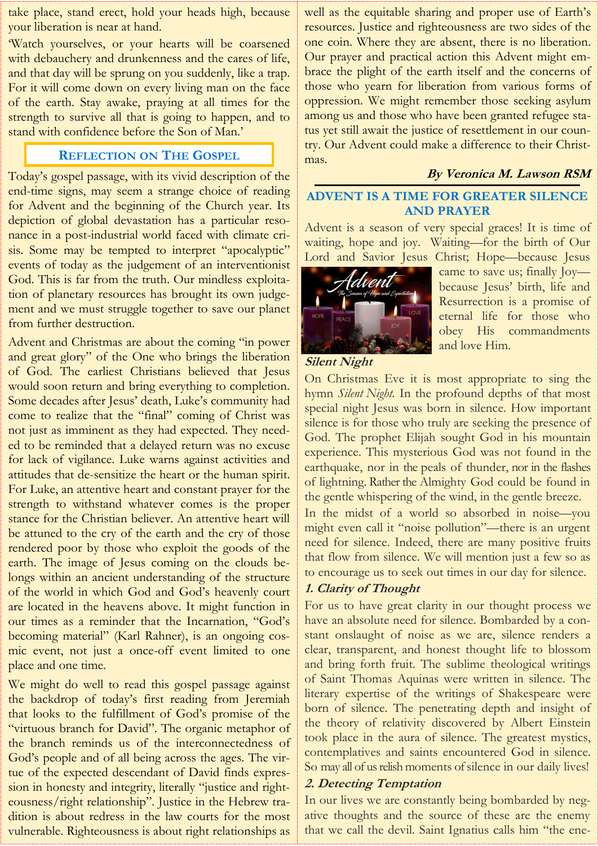take place, stand erect, hold your heads high, because your liberation is near at hand.

'Watch yourselves, or your hearts will be coarsened with debauchery and drunkenness and the cares of life, and that day will be sprung on you suddenly, like a trap. For it will come down on every living man on the face of the earth. Stay awake, praying at all times for the strength to survive all that is going to happen, and to stand with confidence before the Son of Man.'

#### **REFLECTION ON THE GOSPEL**

Today's gospel passage, with its vivid description of the end-time signs, may seem a strange choice of reading for Advent and the beginning of the Church year. Its depiction of global devastation has a particular resonance in a post-industrial world faced with climate crisis. Some may be tempted to interpret "apocalyptic" events of today as the judgement of an interventionist God. This is far from the truth. Our mindless exploitation of planetary resources has brought its own judgement and we must struggle together to save our planet from further destruction.

Advent and Christmas are about the coming "in power and great glory" of the One who brings the liberation of God. The earliest Christians believed that Jesus would soon return and bring everything to completion. Some decades after Jesus' death, Luke's community had come to realize that the "final" coming of Christ was not just as imminent as they had expected. They needed to be reminded that a delayed return was no excuse for lack of vigilance. Luke warns against activities and attitudes that de-sensitize the heart or the human spirit. For Luke, an attentive heart and constant prayer for the strength to withstand whatever comes is the proper stance for the Christian believer. An attentive heart will be attuned to the cry of the earth and the cry of those rendered poor by those who exploit the goods of the earth. The image of Jesus coming on the clouds belongs within an ancient understanding of the structure of the world in which God and God's heavenly court are located in the heavens above. It might function in our times as a reminder that the Incarnation, "God's becoming material" (Karl Rahner), is an ongoing cosmic event, not just a once-off event limited to one place and one time.

We might do well to read this gospel passage against the backdrop of today's first reading from Jeremiah that looks to the fulfillment of God's promise of the "virtuous branch for David". The organic metaphor of the branch reminds us of the interconnectedness of God's people and of all being across the ages. The virtue of the expected descendant of David finds expression in honesty and integrity, literally "justice and righteousness/right relationship". Justice in the Hebrew tradition is about redress in the law courts for the most vulnerable. Righteousness is about right relationships as

well as the equitable sharing and proper use of Earth's resources. Justice and righteousness are two sides of the one coin. Where they are absent, there is no liberation. Our prayer and practical action this Advent might embrace the plight of the earth itself and the concerns of those who yearn for liberation from various forms of oppression. We might remember those seeking asylum among us and those who have been granted refugee status yet still await the justice of resettlement in our country. Our Advent could make a difference to their Christmas.

#### **By Veronica M. Lawson RSM**

#### **ADVENT IS A TIME FOR GREATER SILENCE AND PRAYER**

Advent is a season of very special graces! It is time of waiting, hope and joy. Waiting—for the birth of Our Lord and Savior Jesus Christ; Hope—because Jesus



came to save us; finally Joy because Jesus' birth, life and Resurrection is a promise of eternal life for those who obey His commandments and love Him.

#### **Silent Night**

On Christmas Eve it is most appropriate to sing the hymn *Silent Night.* In the profound depths of that most special night Jesus was born in silence. How important silence is for those who truly are seeking the presence of God. The prophet Elijah sought God in his mountain experience. This mysterious God was not found in the earthquake, nor in the peals of thunder, nor in the flashes of lightning. Rather the Almighty God could be found in the gentle whispering of the wind, in the gentle breeze.

In the midst of a world so absorbed in noise—you might even call it "noise pollution"—there is an urgent need for silence. Indeed, there are many positive fruits that flow from silence. We will mention just a few so as to encourage us to seek out times in our day for silence.

#### **1. Clarity of Thought**

For us to have great clarity in our thought process we have an absolute need for silence. Bombarded by a constant onslaught of noise as we are, silence renders a clear, transparent, and honest thought life to blossom and bring forth fruit. The sublime theological writings of Saint Thomas Aquinas were written in silence. The literary expertise of the writings of Shakespeare were born of silence. The penetrating depth and insight of the theory of relativity discovered by Albert Einstein took place in the aura of silence. The greatest mystics, contemplatives and saints encountered God in silence. So may all of us relish moments of silence in our daily lives!

#### **2. Detecting Temptation**

In our lives we are constantly being bombarded by negative thoughts and the source of these are the enemy that we call the devil. Saint Ignatius calls him "the ene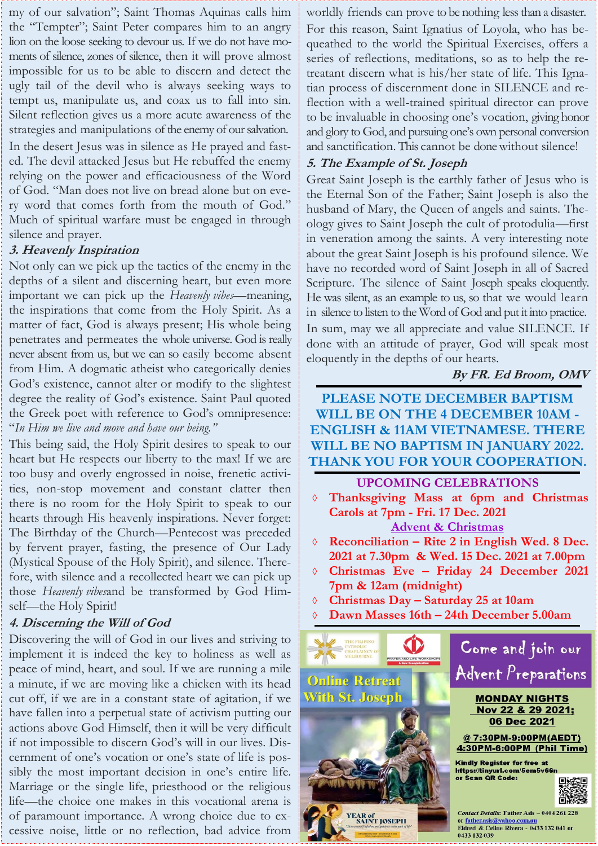my of our salvation"; Saint Thomas Aquinas calls him the "Tempter"; Saint Peter compares him to an angry lion on the loose seeking to devour us. If we do not have moments of silence, zones of silence, then it will prove almost impossible for us to be able to discern and detect the ugly tail of the devil who is always seeking ways to tempt us, manipulate us, and coax us to fall into sin. Silent reflection gives us a more acute awareness of the strategies and manipulations of the enemy of our salvation.

In the desert Jesus was in silence as He prayed and fasted. The devil attacked Jesus but He rebuffed the enemy relying on the power and efficaciousness of the Word of God. "Man does not live on bread alone but on every word that comes forth from the mouth of God." Much of spiritual warfare must be engaged in through silence and prayer.

#### **3. Heavenly Inspiration**

Not only can we pick up the tactics of the enemy in the depths of a silent and discerning heart, but even more important we can pick up the *Heavenly vibes*—meaning, the inspirations that come from the Holy Spirit. As a matter of fact, God is always present; His whole being penetrates and permeates the whole universe. God is really never absent from us, but we can so easily become absent from Him. A dogmatic atheist who categorically denies God's existence, cannot alter or modify to the slightest degree the reality of God's existence. Saint Paul quoted the Greek poet with reference to God's omnipresence: "*In Him we live and move and have our being."*

This being said, the Holy Spirit desires to speak to our heart but He respects our liberty to the max! If we are too busy and overly engrossed in noise, frenetic activities, non-stop movement and constant clatter then there is no room for the Holy Spirit to speak to our hearts through His heavenly inspirations. Never forget: The Birthday of the Church—Pentecost was preceded by fervent prayer, fasting, the presence of Our Lady (Mystical Spouse of the Holy Spirit), and silence. Therefore, with silence and a recollected heart we can pick up those *Heavenly vibes*and be transformed by God Himself—the Holy Spirit!

#### **4. Discerning the Will of God**

Discovering the will of God in our lives and striving to implement it is indeed the key to holiness as well as peace of mind, heart, and soul. If we are running a mile a minute, if we are moving like a chicken with its head cut off, if we are in a constant state of agitation, if we have fallen into a perpetual state of activism putting our actions above God Himself, then it will be very difficult if not impossible to discern God's will in our lives. Discernment of one's vocation or one's state of life is possibly the most important decision in one's entire life. Marriage or the single life, priesthood or the religious life—the choice one makes in this vocational arena is of paramount importance. A wrong choice due to excessive noise, little or no reflection, bad advice from

worldly friends can prove to be nothing less than a disaster.

For this reason, Saint Ignatius of Loyola, who has bequeathed to the world the Spiritual Exercises, offers a series of reflections, meditations, so as to help the retreatant discern what is his/her state of life. This Ignatian process of discernment done in SILENCE and reflection with a well-trained spiritual director can prove to be invaluable in choosing one's vocation, giving honor and glory to God, and pursuing one's own personal conversion and sanctification. This cannot be done without silence!

#### **5. The Example of St. Joseph**

Great Saint Joseph is the earthly father of Jesus who is the Eternal Son of the Father; Saint Joseph is also the husband of Mary, the Queen of angels and saints. Theology gives to Saint Joseph the cult of protodulia—first in veneration among the saints. A very interesting note about the great Saint Joseph is his profound silence. We have no recorded word of Saint Joseph in all of Sacred Scripture. The silence of Saint Joseph speaks eloquently. He was silent, as an example to us, so that we would learn in silence to listen to the Word of God and put it into practice. In sum, may we all appreciate and value SILENCE. If done with an attitude of prayer, God will speak most eloquently in the depths of our hearts.

#### **By FR. Ed Broom, OMV**

## **PLEASE NOTE DECEMBER BAPTISM WILL BE ON THE 4 DECEMBER 10AM - ENGLISH & 11AM VIETNAMESE. THERE WILL BE NO BAPTISM IN JANUARY 2022. THANK YOU FOR YOUR COOPERATION.**

#### **UPCOMING CELEBRATIONS**

 **Thanksgiving Mass at 6pm and Christmas Carols at 7pm - Fri. 17 Dec. 2021 Advent & Christmas** 

 **Reconciliation – Rite 2 in English Wed. 8 Dec. 2021 at 7.30pm & Wed. 15 Dec. 2021 at 7.00pm**

- **Christmas Eve – Friday 24 December 2021 7pm & 12am (midnight)**
- **Christmas Day – Saturday 25 at 10am**
- **Dawn Masses 16th – 24th December 5.00am**